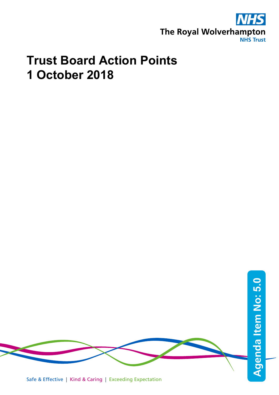

## **Trust Board Action Points 1 October 2018**

Safe & Effective | Kind & Caring | Exceeding Expectation **Agenda Item No: Agenda Item No: 5.0**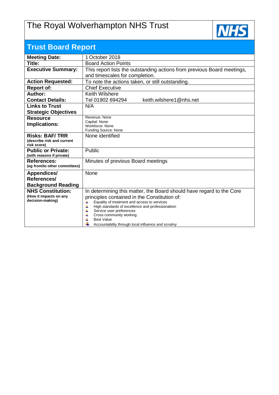## The Royal Wolverhampton NHS Trust



| <b>Trust Board Report</b>                           |                                                                                                   |  |  |  |  |
|-----------------------------------------------------|---------------------------------------------------------------------------------------------------|--|--|--|--|
| <b>Meeting Date:</b>                                | 1 October 2018                                                                                    |  |  |  |  |
| Title:                                              | <b>Board Action Points</b>                                                                        |  |  |  |  |
| <b>Executive Summary:</b>                           | This report lists the outstanding actions from previous Board meetings,                           |  |  |  |  |
|                                                     | and timescales for completion.                                                                    |  |  |  |  |
| <b>Action Requested:</b>                            | To note the actions taken, or still outstanding.                                                  |  |  |  |  |
| <b>Report of:</b>                                   | <b>Chief Executive</b>                                                                            |  |  |  |  |
| Author:                                             | <b>Keith Wilshere</b>                                                                             |  |  |  |  |
| <b>Contact Details:</b>                             | keith.wilshere1@nhs.net<br>Tel 01902 694294                                                       |  |  |  |  |
| <b>Links to Trust</b>                               | N/A                                                                                               |  |  |  |  |
| <b>Strategic Objectives</b>                         |                                                                                                   |  |  |  |  |
| <b>Resource</b>                                     | Revenue: None<br>Capital: None                                                                    |  |  |  |  |
| Implications:                                       | Workforce: None                                                                                   |  |  |  |  |
|                                                     | Funding Source: None                                                                              |  |  |  |  |
| <b>Risks: BAF/TRR</b><br>(describe risk and current | None identified                                                                                   |  |  |  |  |
| risk score)                                         |                                                                                                   |  |  |  |  |
| <b>Public or Private:</b>                           | Public                                                                                            |  |  |  |  |
| (with reasons if private)                           |                                                                                                   |  |  |  |  |
| <b>References:</b>                                  | Minutes of previous Board meetings                                                                |  |  |  |  |
| (eg from/to other committees)                       |                                                                                                   |  |  |  |  |
| Appendices/                                         | None                                                                                              |  |  |  |  |
| References/                                         |                                                                                                   |  |  |  |  |
| <b>Background Reading</b>                           |                                                                                                   |  |  |  |  |
| <b>NHS Constitution:</b><br>(How it impacts on any  | In determining this matter, the Board should have regard to the Core                              |  |  |  |  |
| decision-making)                                    | principles contained in the Constitution of:<br>Equality of treatment and access to services<br>4 |  |  |  |  |
|                                                     | 4<br>High standards of excellence and professionalism                                             |  |  |  |  |
|                                                     | 4<br>Service user preferences                                                                     |  |  |  |  |
|                                                     | Cross community working<br><b>Best Value</b>                                                      |  |  |  |  |
|                                                     | Accountability through local influence and scrutiny                                               |  |  |  |  |